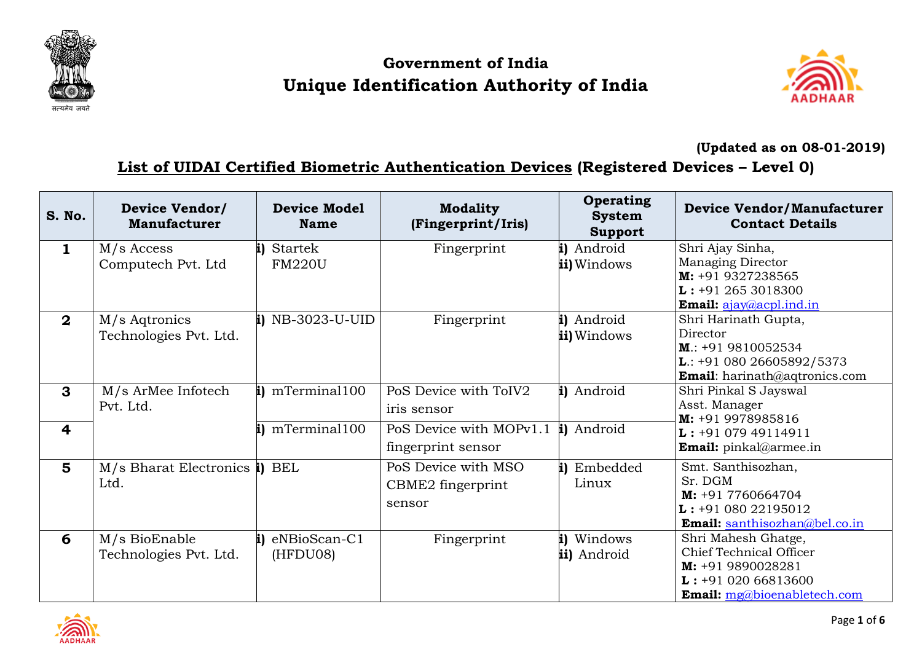

## **Government of India Unique Identification Authority of India**



**(Updated as on 08-01-2019)**

## **List of UIDAI Certified Biometric Authentication Devices (Registered Devices – Level 0)**

| S. No.            | <b>Device Vendor/</b><br><b>Manufacturer</b> | <b>Device Model</b><br><b>Name</b> | <b>Modality</b><br>(Fingerprint/Iris)                           | Operating<br><b>System</b><br><b>Support</b> | <b>Device Vendor/Manufacturer</b><br><b>Contact Details</b>                                                                      |
|-------------------|----------------------------------------------|------------------------------------|-----------------------------------------------------------------|----------------------------------------------|----------------------------------------------------------------------------------------------------------------------------------|
| $\mathbf{1}$      | $M/s$ Access<br>Computech Pvt. Ltd           | i) Startek<br><b>FM220U</b>        | Fingerprint                                                     | i) Android<br>ii) Windows                    | Shri Ajay Sinha,<br><b>Managing Director</b><br>M: +91 9327238565<br>$L: +912653018300$<br>Email: ajay@acpl.ind.in               |
| $\mathbf{2}$      | M/s Agtronics<br>Technologies Pvt. Ltd.      | $i)$ NB-3023-U-UID                 | Fingerprint                                                     | i) Android<br>ii) Windows                    | Shri Harinath Gupta,<br>Director<br>$M.: +919810052534$<br><b>L</b> : +91 080 26605892/5373<br>Email: harinath@aqtronics.com     |
| $\mathbf{3}$<br>4 | M/s ArMee Infotech<br>Pvt. Ltd.              | i) mTerminal100<br>i) mTerminal100 | PoS Device with ToIV2<br>iris sensor<br>PoS Device with MOPv1.1 | i) Android<br>i) Android                     | Shri Pinkal S Jayswal<br>Asst. Manager<br>M: +91 9978985816                                                                      |
|                   |                                              |                                    | fingerprint sensor                                              |                                              | $L: +9107949114911$<br><b>Email:</b> pinkal@armee.in                                                                             |
| 5                 | $M/s$ Bharat Electronics i) BEL<br>Ltd.      |                                    | PoS Device with MSO<br>CBME2 fingerprint<br>sensor              | Embedded<br>Linux                            | Smt. Santhisozhan,<br>Sr. DGM<br>$M: +917760664704$<br>$L: +9108022195012$<br><b>Email:</b> santhisozhan@bel.co.in               |
| 6                 | M/s BioEnable<br>Technologies Pvt. Ltd.      | i) eNBioScan-C1<br>(HFDU08)        | Fingerprint                                                     | Windows<br>ii) Android                       | Shri Mahesh Ghatge,<br>Chief Technical Officer<br>M: +91 9890028281<br>$L: +9102066813600$<br><b>Email:</b> mg@bioenabletech.com |

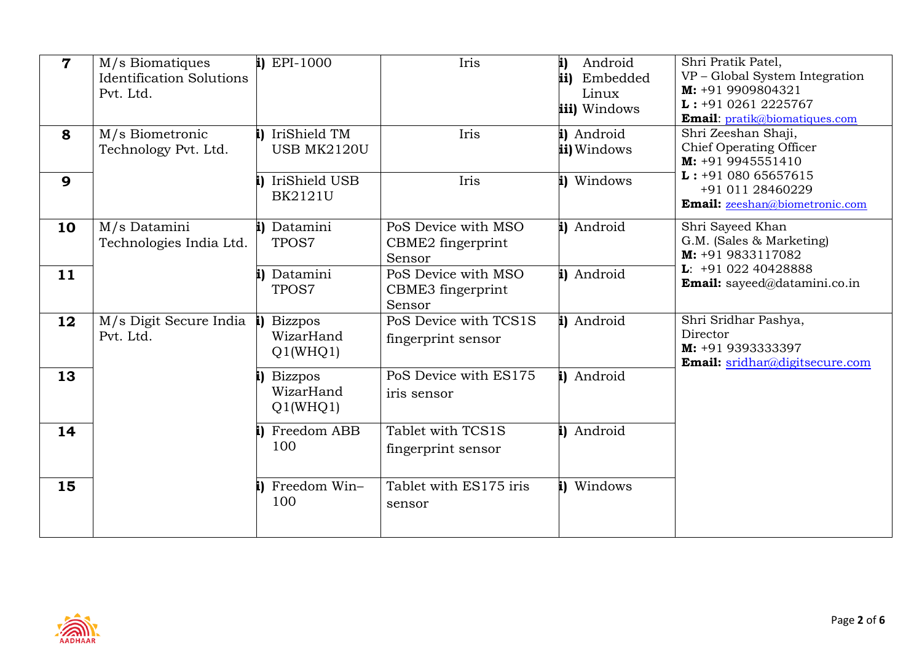| $\overline{7}$ | M/s Biomatiques<br><b>Identification Solutions</b><br>Pvt. Ltd. | $i)$ EPI-1000                           | Iris                                               | Android<br>i)<br>ii)<br>Embedded<br>Linux<br>iii) Windows | Shri Pratik Patel,<br>VP - Global System Integration<br>$M: +919909804321$<br>$L: +9102612225767$<br>Email: pratik@biomatiques.com |
|----------------|-----------------------------------------------------------------|-----------------------------------------|----------------------------------------------------|-----------------------------------------------------------|------------------------------------------------------------------------------------------------------------------------------------|
| 8              | M/s Biometronic<br>Technology Pvt. Ltd.                         | IriShield TM<br><b>USB MK2120U</b>      | Iris                                               | i) Android<br>ii) Windows                                 | Shri Zeeshan Shaji,<br>Chief Operating Officer<br>M: +91 9945551410                                                                |
| 9              |                                                                 | IriShield USB<br><b>BK2121U</b>         | Iris                                               | i) Windows                                                | $L: +9108065657615$<br>+91 011 28460229<br>Email: zeeshan@biometronic.com                                                          |
| 10             | M/s Datamini<br>Technologies India Ltd.                         | i) Datamini<br>TPOS7                    | PoS Device with MSO<br>CBME2 fingerprint<br>Sensor | i) Android                                                | Shri Sayeed Khan<br>G.M. (Sales & Marketing)<br>M: +91 9833117082                                                                  |
| 11             |                                                                 | Datamini<br>TPOS7                       | PoS Device with MSO<br>CBME3 fingerprint<br>Sensor | i) Android                                                | $L: +9102240428888$<br>Email: sayeed@datamini.co.in                                                                                |
| 12             | M/s Digit Secure India<br>Pvt. Ltd.                             | <b>Bizzpos</b><br>WizarHand<br>Q1(WHQ1) | PoS Device with TCS1S<br>fingerprint sensor        | i) Android                                                | Shri Sridhar Pashya,<br>Director<br>M: +91 9393333397<br>Email: sridhar@digitsecure.com                                            |
| 13             |                                                                 | <b>Bizzpos</b><br>WizarHand<br>Q1(WHQ1) | PoS Device with ES175<br>iris sensor               | Android                                                   |                                                                                                                                    |
| 14             |                                                                 | Freedom ABB<br>100                      | Tablet with TCS1S<br>fingerprint sensor            | Android                                                   |                                                                                                                                    |
| 15             |                                                                 | Freedom Win-<br>100                     | Tablet with ES175 iris<br>sensor                   | Windows                                                   |                                                                                                                                    |

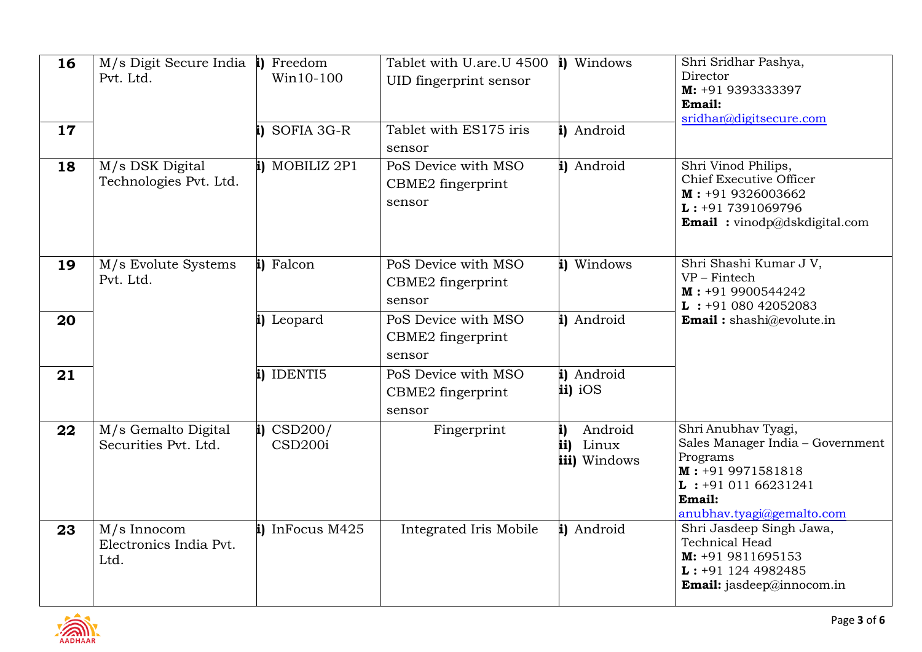| 16 | M/s Digit Secure India i) Freedom<br>Pvt. Ltd. | Win10-100                                   | Tablet with U.are.U 4500<br>UID fingerprint sensor | i) Windows                                    | Shri Sridhar Pashya,<br>Director<br>M: +91 9393333397<br>Email:<br>sridhar@digitsecure.com                                                                 |
|----|------------------------------------------------|---------------------------------------------|----------------------------------------------------|-----------------------------------------------|------------------------------------------------------------------------------------------------------------------------------------------------------------|
| 17 |                                                | i) SOFIA 3G-R                               | Tablet with ES175 iris<br>sensor                   | i) Android                                    |                                                                                                                                                            |
| 18 | M/s DSK Digital<br>Technologies Pvt. Ltd.      | i) MOBILIZ 2P1                              | PoS Device with MSO<br>CBME2 fingerprint<br>sensor | i) Android                                    | Shri Vinod Philips,<br>Chief Executive Officer<br>$M: +919326003662$<br>$L: +917391069796$<br><b>Email</b> : vinodp@dskdigital.com                         |
| 19 | M/s Evolute Systems<br>Pvt. Ltd.               | i) Falcon                                   | PoS Device with MSO<br>CBME2 fingerprint<br>sensor | i) Windows                                    | Shri Shashi Kumar J V,<br>$VP - Fintech$<br>$M: +919900544242$<br>$L$ : +91 080 42052083                                                                   |
| 20 |                                                | i) Leopard                                  | PoS Device with MSO<br>CBME2 fingerprint<br>sensor | i) Android                                    | <b>Email:</b> shashi@evolute.in                                                                                                                            |
| 21 |                                                | i) IDENTI5                                  | PoS Device with MSO<br>CBME2 fingerprint<br>sensor | i) Android<br>ii) iOS                         |                                                                                                                                                            |
| 22 | M/s Gemalto Digital<br>Securities Pvt. Ltd.    | i) $\text{CSD200} /$<br>CSD <sub>200i</sub> | Fingerprint                                        | Android<br>i)<br>Linux<br>ii)<br>iii) Windows | Shri Anubhav Tyagi,<br>Sales Manager India - Government<br>Programs<br>$M: +919971581818$<br>$L$ : +91 011 66231241<br>Email:<br>anubhav.tyagi@gemalto.com |
| 23 | M/s Innocom<br>Electronics India Pvt.<br>Ltd.  | i) InFocus M425                             | Integrated Iris Mobile                             | i) Android                                    | Shri Jasdeep Singh Jawa,<br><b>Technical Head</b><br>$M: +919811695153$<br>$L: +911244982485$<br><b>Email:</b> jasdeep@innocom.in                          |

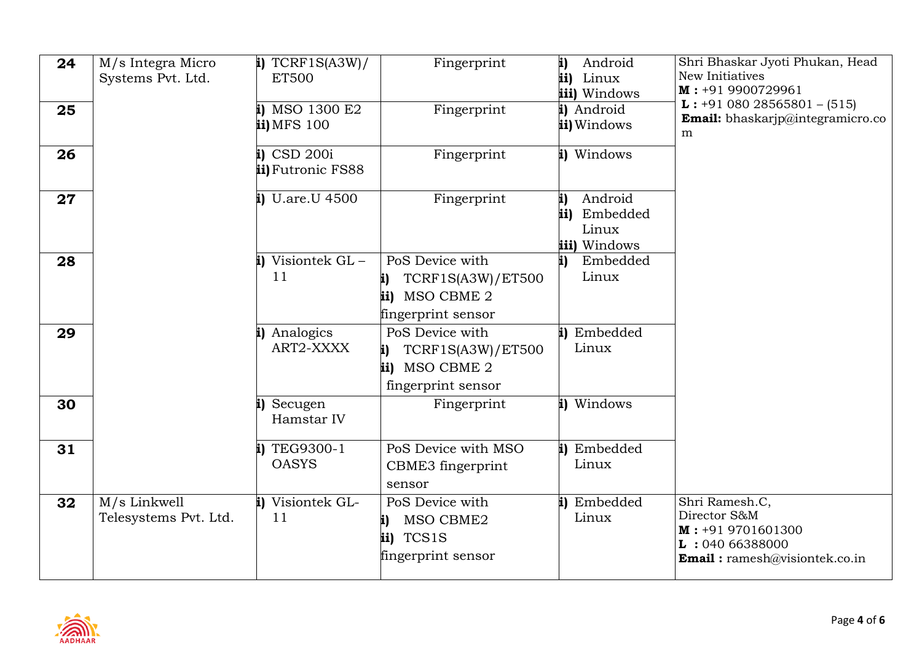| 24 | M/s Integra Micro<br>Systems Pvt. Ltd. | $i)$ TCRF1S(A3W)/<br><b>ET500</b>     | Fingerprint                                                                               | Android<br>i)<br>ii)<br>Linux<br>iii) Windows             | Shri Bhaskar Jyoti Phukan, Head<br>New Initiatives<br>$M: +919900729961$                                       |
|----|----------------------------------------|---------------------------------------|-------------------------------------------------------------------------------------------|-----------------------------------------------------------|----------------------------------------------------------------------------------------------------------------|
| 25 |                                        | i) MSO 1300 E2<br>ii) MFS 100         | Fingerprint                                                                               | i) Android<br>ii) Windows                                 | $L: +9108028565801 - (515)$<br><b>Email:</b> bhaskarjp@integramicro.co<br>m                                    |
| 26 |                                        | $i)$ CSD 200 $i$<br>ii) Futronic FS88 | Fingerprint                                                                               | i) Windows                                                |                                                                                                                |
| 27 |                                        | $i)$ U.are.U 4500                     | Fingerprint                                                                               | i)<br>Android<br>Embedded<br>ii)<br>Linux<br>iii) Windows |                                                                                                                |
| 28 |                                        | i) Visiontek GL-<br>11                | PoS Device with<br>TCRF1S(A3W)/ET500<br>i)<br>ii) MSO CBME 2<br>fingerprint sensor        | Embedded<br>i)<br>Linux                                   |                                                                                                                |
| 29 |                                        | i) Analogics<br>ART2-XXXX             | PoS Device with<br><b>TCRF1S(A3W)/ET500</b><br>i)<br>ii) MSO CBME 2<br>fingerprint sensor | Embedded<br>Linux                                         |                                                                                                                |
| 30 |                                        | i) Secugen<br>Hamstar IV              | Fingerprint                                                                               | i) Windows                                                |                                                                                                                |
| 31 |                                        | TEG9300-1<br><b>OASYS</b>             | PoS Device with MSO<br>CBME3 fingerprint<br>sensor                                        | Embedded<br>Linux                                         |                                                                                                                |
| 32 | M/s Linkwell<br>Telesystems Pvt. Ltd.  | i) Visiontek GL-<br>11                | PoS Device with<br>MSO CBME2<br>i)<br>TCS1S<br>ii)<br>fingerprint sensor                  | Embedded<br>i)<br>Linux                                   | Shri Ramesh.C,<br>Director S&M<br>$M: +919701601300$<br>L: 04066388000<br><b>Email:</b> ramesh@visiontek.co.in |

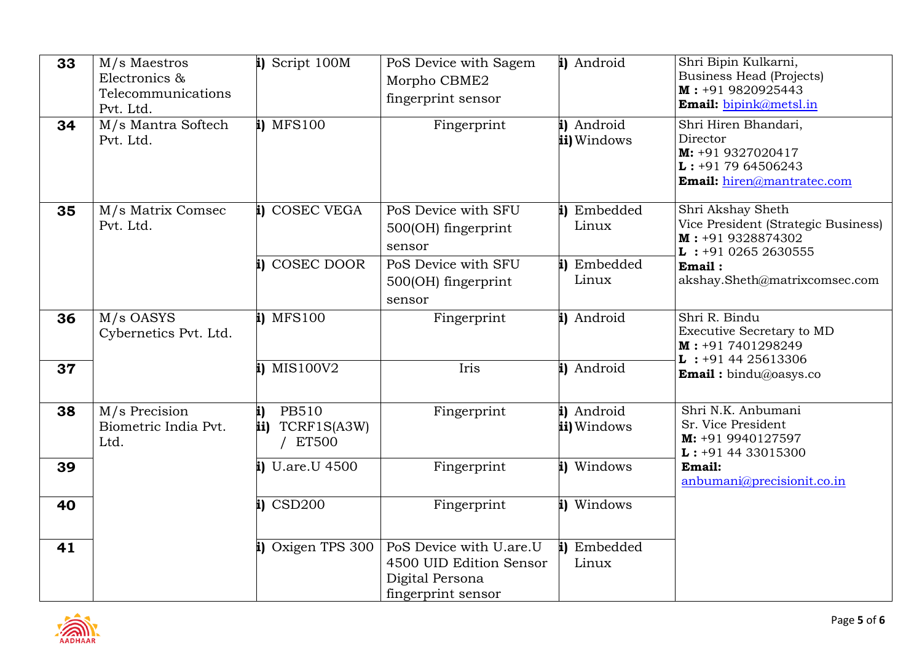| 33 | M/s Maestros<br>Electronics &<br>Telecommunications<br>Pvt. Ltd. | i) Script 100M                                           | PoS Device with Sagem<br>Morpho CBME2<br>fingerprint sensor                                 | i) Android                | Shri Bipin Kulkarni,<br><b>Business Head (Projects)</b><br>M: +91 9820925443<br><b>Email:</b> bipink@metsl.in         |
|----|------------------------------------------------------------------|----------------------------------------------------------|---------------------------------------------------------------------------------------------|---------------------------|-----------------------------------------------------------------------------------------------------------------------|
| 34 | M/s Mantra Softech<br>Pvt. Ltd.                                  | i) MFS100                                                | Fingerprint                                                                                 | i) Android<br>ii) Windows | Shri Hiren Bhandari,<br>Director<br>M: +91 9327020417<br>$\mathbf{L}$ : +91 79 64506243<br>Email: hiren@mantratec.com |
| 35 | M/s Matrix Comsec<br>Pvt. Ltd.                                   | i) COSEC VEGA                                            | PoS Device with SFU<br>500(OH) fingerprint<br>sensor                                        | i) Embedded<br>Linux      | Shri Akshay Sheth<br>Vice President (Strategic Business)<br>$M: +919328874302$<br>$L : +91 0265 2630555$              |
|    |                                                                  | i) COSEC DOOR                                            | PoS Device with SFU<br>500(OH) fingerprint<br>sensor                                        | i) Embedded<br>Linux      | Email:<br>akshay.Sheth@matrixcomsec.com                                                                               |
| 36 | M/s OASYS<br>Cybernetics Pvt. Ltd.                               | i) MFS100                                                | Fingerprint                                                                                 | i) Android                | Shri R. Bindu<br>Executive Secretary to MD<br>$M: +917401298249$<br>$L: +914425613306$                                |
| 37 |                                                                  | i) MIS100V2                                              | Iris                                                                                        | i) Android                | <b>Email:</b> bindu@oasys.co                                                                                          |
| 38 | M/s Precision<br>Biometric India Pvt.<br>Ltd.                    | i)<br><b>PB510</b><br>TCRF1S(A3W)<br>ii)<br><b>ET500</b> | Fingerprint                                                                                 | i) Android<br>ii) Windows | Shri N.K. Anbumani<br>Sr. Vice President<br>$M: +919940127597$<br>$L: +914433015300$                                  |
| 39 |                                                                  | $i)$ U.are.U 4500                                        | Fingerprint                                                                                 | i) Windows                | Email:<br>anbumani@precisionit.co.in                                                                                  |
| 40 |                                                                  | $i)$ CSD200                                              | Fingerprint                                                                                 | i) Windows                |                                                                                                                       |
| 41 |                                                                  | i) Oxigen TPS 300                                        | PoS Device with U.are.U<br>4500 UID Edition Sensor<br>Digital Persona<br>fingerprint sensor | Embedded<br>Linux         |                                                                                                                       |